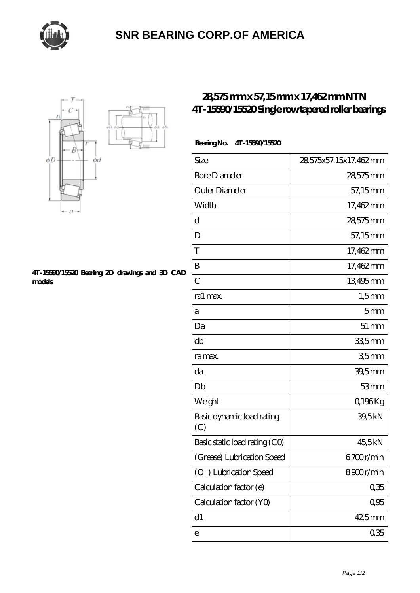

# **[SNR BEARING CORP.OF AMERICA](https://thebestofquebec.com)**



#### **[4T-15590/15520 Bearing 2D drawings and 3D CAD](https://thebestofquebec.com/pic-64979326.html) [models](https://thebestofquebec.com/pic-64979326.html)**

## **[28,575 mm x 57,15 mm x 17,462 mm NTN](https://thebestofquebec.com/bz-64979326-ntn-4t-15590-15520-single-row-tapered-roller-bearings.html) [4T-15590/15520 Single row tapered roller bearings](https://thebestofquebec.com/bz-64979326-ntn-4t-15590-15520-single-row-tapered-roller-bearings.html)**

### **Bearing No. 4T-15590/15520**

| Size                             | 28.575x57.15x17.462mm |
|----------------------------------|-----------------------|
| <b>Bore Diameter</b>             | 28,575mm              |
| Outer Diameter                   | 57,15mm               |
| Width                            | 17,462mm              |
| d                                | 28,575mm              |
| D                                | 57,15mm               |
| T                                | 17,462mm              |
| B                                | 17,462mm              |
| $\overline{C}$                   | 13495mm               |
| ra1 max.                         | $1,5$ mm              |
| а                                | 5mm                   |
| Da                               | $51 \,\mathrm{mm}$    |
| db                               | 33,5mm                |
| ra max.                          | 35mm                  |
| da                               | 39,5mm                |
| Db                               | 53mm                  |
| Weight                           | Q196Kg                |
| Basic dynamic load rating<br>(C) | 39,5kN                |
| Basic static load rating (CO)    | 45,5kN                |
| (Grease) Lubrication Speed       | 6700r/min             |
| (Oil) Lubrication Speed          | 8900r/min             |
| Calculation factor (e)           | 035                   |
| Calculation factor (YO)          | 0,95                  |
| d1                               | 425mm                 |
| e                                | 035                   |